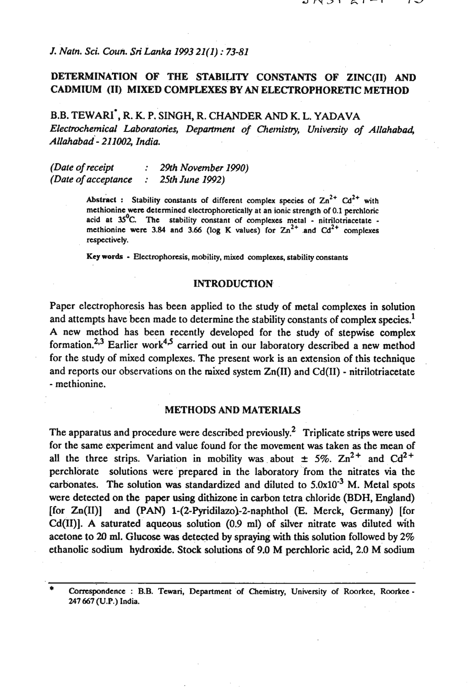# *J. Natn. Sci. Coun. Sri Lanka 1993 21(1)* : *73-81*

# DETERMINATION OF THE STABILITY CONSTANTS OF ZINC(I1) AND CADMIUM (II) MIXED COMPLEXES BY AN ELECTROPHORETIC METHOD

**B.B. TEWARI', R. K.** P. SINGH, **R. CHANDER AND K. L. YADAVA**  *Electrochemical Laboratories, Department of Chemistry, University of Allahabad, ~llahabad- 211002, India.* 

*(Date of receipt* : *29th November 1990) (Date of acceptance* : *25th June 1992)* 

> Abstract : Stability constants of different complex species of  $\text{Zn}^{2+}$  Cd<sup>2+</sup> with **methionine were determined electrophoretically at an ionic strength of 0.1 pcrchloric**  acid at <sup>35°</sup>C. The stability constant of complexes metal - nitrilotriacetate **rnethionine were 3.84 and 3.66 (log K values) for**  $\text{Zn}^{2+}$  **and**  $\text{Cd}^{2+}$  **complexes respectively.**

**Key words** - **Electrophoresis, mobility, mixed complexes, stability constants** 

## INTRODUCTION

Paper electrophoresis has been applied to the study of metal complexes in solution and attempts have been made to determine the stability constants of complex species.<sup>1</sup> **A** new method has been recently developed for the study of stepwise complex formation.<sup>2,3</sup> Earlier work<sup>4,5</sup> carried out in our laboratory described a new method for the study of mixed complexes. The present work is an extension of this technique and reports our observations on the mixed system  $Zn(II)$  and  $Cd(II)$  - nitrilotriacetate - methionine.

## METHODS AND MATERIALS

The apparatus and procedure were described previously.<sup>2</sup> Triplicate strips were used for the same experiment and value found for the movement was taken as the mean of all the three strips. Variation in mobility was about  $\pm$  5%.  $\text{Zn}^{2+}$  and  $\text{Cd}^{2+}$ perchlorate solutions were prepared in the laboratory from the nitrates via the carbonates. The solution was standardized and diluted to  $5.0x10^{-3}$  M. Metal spots were detected on the paper using dithizone in carbon tetra chloride (BDH, England) [for Zn(II)] and **(PAN)** 1-(2-Pyridilazo)-2-naphthol **(E. Merck, Germany)** [for  $Cd(II)$ ]. A saturated aqueous solution  $(0.9 \text{ ml})$  of silver nitrate was diluted with acetone to **20 ml.** Glucose **was** detected by spraying with this solution followed by 2% ethanolic sodium hydroxide. Stock solutions of 9.0 M perchloric acid, 2.0 M sodium

<sup>\*</sup> **Correspondence** : **B.B. Tewari, Department 'of Chemistry, University of Roorkee, Roorkee** - **247 667 (U.P.) India.**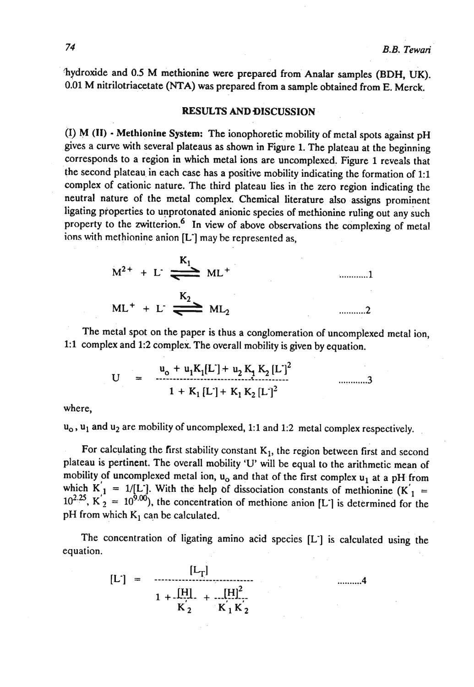'hydroxide and 0.5 M methionine were prepared from Analar samples (BDH, UK). 0.01 M nitrilotriacetate (NTA) was prepared from a sample obtained from E. Merck.

#### **RESULTS AND DISCUSSION**

(I) M **(11)** - Methionine **System:** The ionophoretic mobility of metal spots against pH gives a curve with several plateaus as shown in Figure 1. The plateau at the beginning corresponds to a region in which metal ions are uncomplexed. Figure 1 reveals that the second plateau in each case has a positive mobility indicating the formation of 1:l complex of cationic nature. The third plateau lies in the zero region indicating the neutral nature of the metal complex. Chemical literature also assigns prominent ligating properties to unprotonated anionic species of methionine ruling out any such property to the zwitterion.<sup>6</sup> In view of above observations the complexing of metal ions with methionine anion [L-] may be represented as,

$$
M^{2+} + L^{2} \underbrace{K_1}_{ML^{+}} ML^{+}
$$
\n
$$
ML^{+} + L^{2} \underbrace{K_2}_{ML_2} ML_2
$$
\n
$$
ML^{2} + L^{2} \underbrace{K_1}_{ML_2}
$$
\n
$$
ML^{2} + L^{2} \underbrace{K_2}_{ML_2}
$$

The metal spot on the paper is thus a conglomeration of uncomplexed metal ion, 1:l complex and 1:2 complex. The overall mobility is given by equation.

$$
U = \frac{u_0 + u_1 K_1 [L] + u_2 K_1 K_2 [L]^2}{1 + K_1 [L] + K_1 K_2 [L]^2}
$$

where,

 $u_0$ ,  $u_1$  and  $u_2$  are mobility of uncomplexed, 1:1 and 1:2 metal complex respectively.

For calculating the first stability constant K<sub>1</sub>, the region between first and second plateau is pertinent. The overall mobility 'U' will be equal to the arithmetic mean of mobility of uncomplexed metal ion,  $u_0$  and that of the first complex  $u_1$  at a pH from which  $K'_1 = 1/[L']$ . With the help of dissociation constants of methionine  $(K'_1) =$  $\mu^{2.25}$ ,  $K_2 = 10^{9.00}$ , the concentration of methione anion [L<sup>-</sup>] is determined for the pH from which  $K_1$  can be calculated.

The concentration of ligating amino acid species [L<sup>-</sup>] is calculated using the equation.

$$
[L'] = \frac{[L_T]}{1 + \frac{[H]}{K_2} + \frac{[H]^2}{K_1 K_2}}
$$
 .......4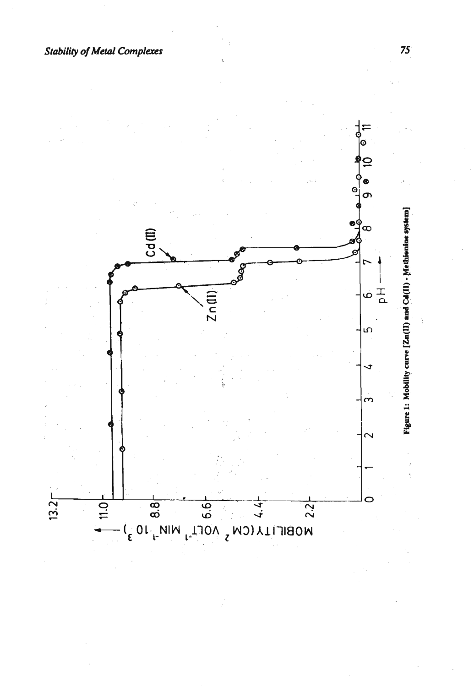**Stability of Metal Complexes** 

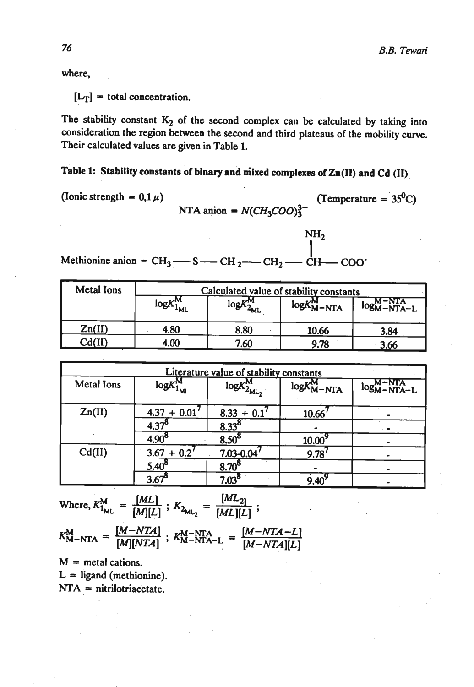where,

 $[L_T]$  = total concentration.

The stability constant  $K_2$  of the second complex can be calculated by taking into consideration the region between the second and third plateaus of the mobility curve. Their calculated values are given in Table 1.

Table 1: Stability constants of binary and **niixed** complexes of **Zn(I1)** and Cd **(11)** 

(Ionic strength =  $0.1 \mu$ ) (Temperature =  $35^0$ C)  $NTA$  anion =  $N(CH_3COO)^{3-2}$ 

MH<sub>2</sub><br>Methionine anion =  $CH_3$ — $S$ — $CH_2$ — $CH_2$ — $CH$ — $COO$ <sup>-</sup>

| <b>Metal Ions</b> | Calculated value of stability constants |                      |                    |                 |  |
|-------------------|-----------------------------------------|----------------------|--------------------|-----------------|--|
|                   | $logK^M$<br>"ML                         | $logK_2^M$<br>$4$ ML | $logK_{M-NTA}^{M}$ | $log_{M-NTA-L}$ |  |
| Zn(II)            | 4.80                                    | 8.80                 | 10.66              | 3.84            |  |
| Cd(II)            | 4.00                                    | 7.60                 | 9.78               | 3.66            |  |

| Literature value of stability constants |                |                         |                            |               |  |  |
|-----------------------------------------|----------------|-------------------------|----------------------------|---------------|--|--|
| <b>Metal Ions</b>                       | $logK_{1}^{N}$ | $logK_{2_{\rm ML_{2}}}$ | $logK_{\rm M-NTA}^{\rm M}$ | $log M-NTA-L$ |  |  |
| Zn(II)                                  | $4.37 + 0.01$  | $8.33 + 0.1$            | 10.66                      |               |  |  |
|                                         | $4.37^{8}$     | $8.33^{8}$              |                            |               |  |  |
|                                         | $4.90^{8}$     | 8.50 <sup>8</sup>       | $10.00^{9}$                |               |  |  |
| Cd(II)                                  | $3.67 + 0.2'$  | $7.03 - 0.04$           | $9.78^{7}$                 |               |  |  |
|                                         | $5.40^{8}$     | $8.70^{8}$              |                            |               |  |  |
|                                         | 3.67           | $7.03^8$                | $9.40^{\circ}$             |               |  |  |

Where, 
$$
K_{1_{ML}}^M = \frac{[ML]}{[M][L]}
$$
;  $K_{2_{ML_2}} = \frac{[ML_2]}{[ML][L]}$ ;

 $K_{M-NTA}^{M} = \frac{[M-NTA]}{[M][NTA]}$ ;  $K_{M-NTA-L}^{M-NTA} = \frac{[M-NTA-L]}{[M-NTA][L]}$ 

 $M$  = metal cations.  $L =$  ligand (methionine). **NTA** = nitrilotriacetate.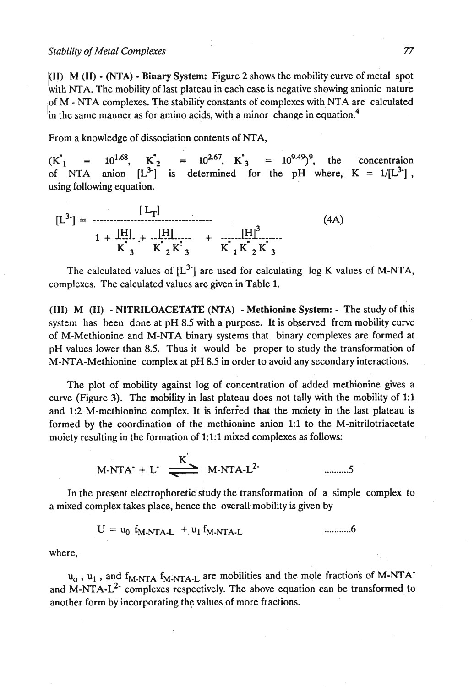**I(1I)** M (11) - (NTA) - Binary System: Figure 2 shows the mobility curve of metal spot 'with NTA. The mobility of last plateau in each case is negative showing anionic nature iof M - NTA complexes. The stability constants of complexes with NTA are calculated in the same manner as for amino acids, with a minor change in equation.<sup>4</sup>

From a knowledge of dissociation contents of NTA,

 $(K_{1}^{\prime}$  = 10<sup>1.68</sup>,  $K_{2}^{\prime}$  = 10<sup>2.67</sup>,  $K_{3}^{\prime}$  = 10<sup>9.49</sup>)<sup>9</sup>, the concentraion of NTA anion  $[L^3]$  is determined for the pH where,  $K = 1/[L^3]$ , using following equation.

$$
[L_{\mathbf{T}}] = \frac{[L_{\mathbf{T}}]}{1 + \frac{[H]}{K}_{3} + \frac{[H]}{K}_{2}K_{3}^{2}} + \frac{[H]^{3}}{K_{1}K_{2}K_{3}^{2}}
$$
(4A)

The calculated values of  $[L^{3-}]$  are used for calculating log K values of M-NTA, complexes. The calculated values are given in Table **1.** 

(111) M (11) - NITRILOACETATE (NTA) - Methionine System: - The study of this system has been done at pH 8.5 with a purpose. It is observed from mobility curve of M-Methionine and M-NTA binary systems that binary complexes are formed at pH values lower than 8.5. Thus it would be proper to study the transformation of M-NTA-Methionine complex at pH 8.5 in order to avoid any secondary interactions.

The plot of mobility against log of concentration of added methionine gives a curve (Figure 3). The mobility in last plateau does not tally with the mobility of 1:1 and 1:2 M-methionine complex. It is inferied that the moiety in the last plateau is formed by the coordination of the methionine anion **1:l** to the M-nitrilotriacetate moiety resulting in the formation of 1:l:l mixed complexes **as** follows:

$$
M-NTA^+ + L^- \xrightarrow{K'} M-NTA-L^2
$$
 .........5

In the present electrophoretic study the transformation of a simple complex to a mixed complex takes place, hence the overall mobility is given by

$$
U = u_0 f_{M-NTA-L} + u_1 f_{M-NTA-L}
$$
 .........6

where,

u<sub>o</sub>, u<sub>1</sub>, and  $f_{M-NTA} f_{M-NTA-L}$  are mobilities and the mole fractions of M-NTA<sup>-</sup> and M-NTA- $L^2$  complexes respectively. The above equation can be transformed to another form by incorporating the values of more fractions.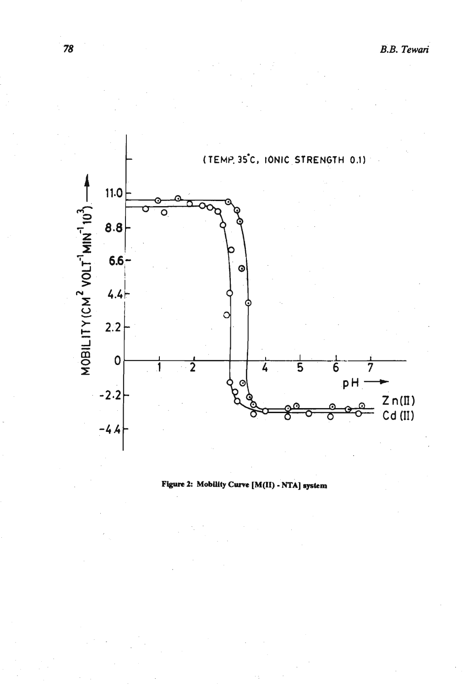

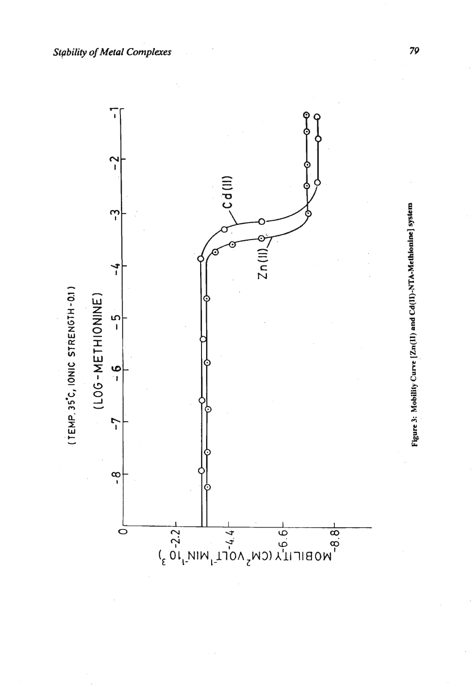

Figure 3: Mobility Curve [Zn(II) and Cd(II)-NTA-Methionine] system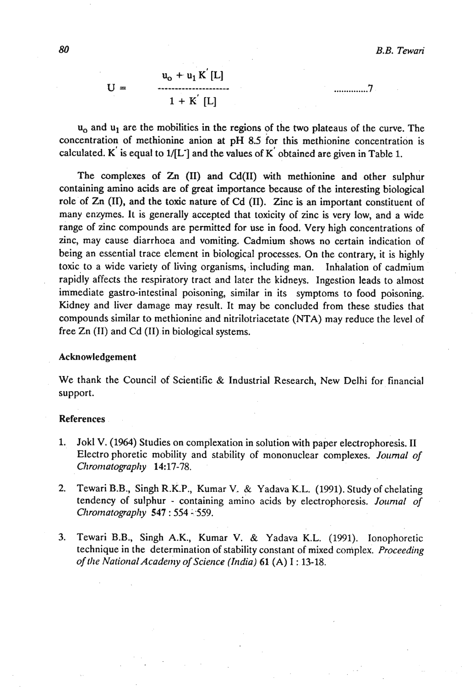.............. '7

 $u_0 + u_1 K'[L]$  $U =$  $1 + K^{'}$  [L]

 $u_0$  and  $u_1$  are the mobilities in the regions of the two plateaus of the curve. The concentration of methionine anion at  $pH$  8.5 for this methionine concentration is calculated. K is equal to  $1/[L^{\dagger}]$  and the values of K obtained are given in Table 1.

The complexes of Zn (11) and Cd(I1) with methionine and other sulphur containing amino acids are of great importance because of the interesting biological role of Zn (11), and the toxic nature of Cd (11). Zinc is an important constituent of many enzymes. It is generally accepted that toxicity of zinc is very low, and a wide range of zinc compounds are permitted for use in food. Very high concentrations of zinc, may cause diarrhoea and vomiting. Cadmium shows no certain indication of being an essential trace element in biological processes. On the contrary, it is highly toxic to a wide variety of living organisms, including man. Inhalation of cadmium rapidly affects the respiratory tract and later the kidneys. Ingestion leads to almost immediate gastro-intestinal poisoning, similar in its symptoms to food poisoning. Kidney and liver damage may result. It may be concluded from these studies that compounds similar to methionine and nitrilotriacetate (NTA) may reduce the level of free Zn **(11)** and Cd **(11)** in biological systems.

#### Acknowledgement

We thank the Council of Scientific & Industrial Research, New Delhi for financial support.

#### **References**

- 1. Jokl V. (1964) Studies on complexation in solution with paper electrophoresis. II Electro phoretic mobility and stability of mononuclear complexes. *Journal of CIiror?iatograpl~y* **14:** 17-78.
- 2. Tewari B.B., Singh R.K.P., Kumar V.. & Yadava K.L. (1991). Study of chelating tendency of sulphur - containing amino acids by electrophoresis. Journal of *Clirornatograpliy* **547** : 554 4.559.
- 3. Tewari B.B., Singh A.K., Kumar V. & Yadava K.L. (1991). lonophoretic technique in the determination of stability constant of mixed complex. *Proceeding of tlte ~atiorlal~cader~~y of Scierlce* **(India) 61** *(A)* **I** :. 13-18.